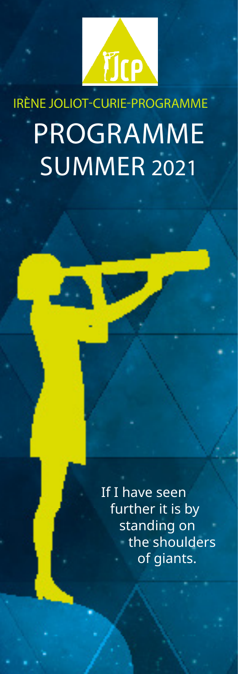

## IRÈNE JOLIOT-CURIE-PROGRAMME PROGRAMME SUMMER 2021

If I have seen further it is by standing on the shoulders of giants.